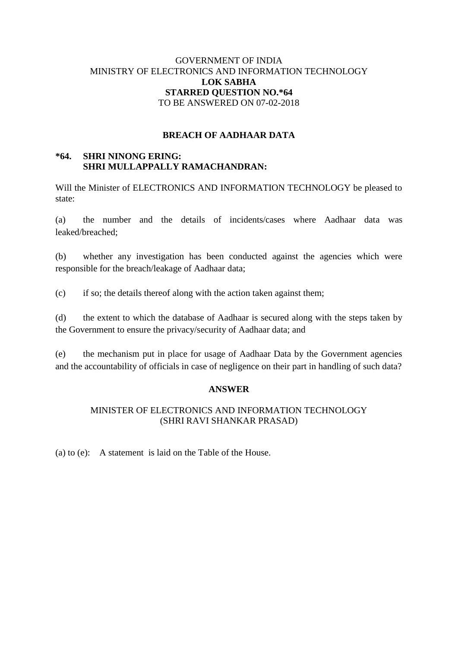# GOVERNMENT OF INDIA MINISTRY OF ELECTRONICS AND INFORMATION TECHNOLOGY **LOK SABHA STARRED QUESTION NO.\*64** TO BE ANSWERED ON 07-02-2018

## **BREACH OF AADHAAR DATA**

# **\*64. SHRI NINONG ERING: SHRI MULLAPPALLY RAMACHANDRAN:**

Will the Minister of ELECTRONICS AND INFORMATION TECHNOLOGY be pleased to state:

(a) the number and the details of incidents/cases where Aadhaar data was leaked/breached;

(b) whether any investigation has been conducted against the agencies which were responsible for the breach/leakage of Aadhaar data;

(c) if so; the details thereof along with the action taken against them;

(d) the extent to which the database of Aadhaar is secured along with the steps taken by the Government to ensure the privacy/security of Aadhaar data; and

(e) the mechanism put in place for usage of Aadhaar Data by the Government agencies and the accountability of officials in case of negligence on their part in handling of such data?

### **ANSWER**

# MINISTER OF ELECTRONICS AND INFORMATION TECHNOLOGY (SHRI RAVI SHANKAR PRASAD)

(a) to (e): A statement is laid on the Table of the House.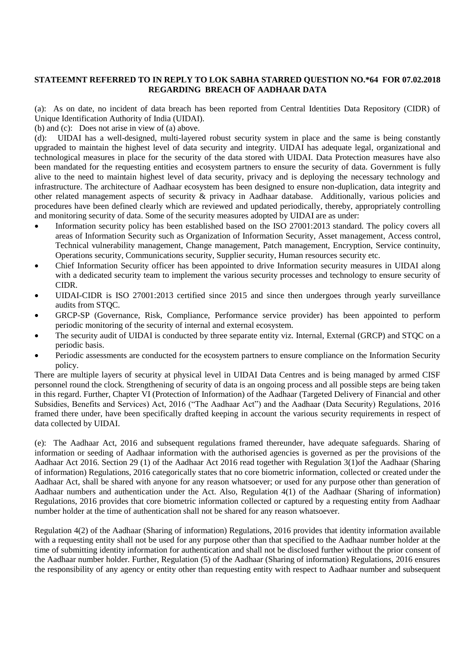#### **STATEEMNT REFERRED TO IN REPLY TO LOK SABHA STARRED QUESTION NO.\*64 FOR 07.02.2018 REGARDING BREACH OF AADHAAR DATA**

(a): As on date, no incident of data breach has been reported from Central Identities Data Repository (CIDR) of Unique Identification Authority of India (UIDAI).

(b) and (c): Does not arise in view of (a) above.

(d): UIDAI has a well-designed, multi-layered robust security system in place and the same is being constantly upgraded to maintain the highest level of data security and integrity. UIDAI has adequate legal, organizational and technological measures in place for the security of the data stored with UIDAI. Data Protection measures have also been mandated for the requesting entities and ecosystem partners to ensure the security of data. Government is fully alive to the need to maintain highest level of data security, privacy and is deploying the necessary technology and infrastructure. The architecture of Aadhaar ecosystem has been designed to ensure non-duplication, data integrity and other related management aspects of security & privacy in Aadhaar database. Additionally, various policies and procedures have been defined clearly which are reviewed and updated periodically, thereby, appropriately controlling and monitoring security of data. Some of the security measures adopted by UIDAI are as under:

- Information security policy has been established based on the ISO 27001:2013 standard. The policy covers all areas of Information Security such as Organization of Information Security, Asset management, Access control, Technical vulnerability management, Change management, Patch management, Encryption, Service continuity, Operations security, Communications security, Supplier security, Human resources security etc.
- Chief Information Security officer has been appointed to drive Information security measures in UIDAI along with a dedicated security team to implement the various security processes and technology to ensure security of CIDR.
- UIDAI-CIDR is ISO 27001:2013 certified since 2015 and since then undergoes through yearly surveillance audits from STQC.
- GRCP-SP (Governance, Risk, Compliance, Performance service provider) has been appointed to perform periodic monitoring of the security of internal and external ecosystem.
- The security audit of UIDAI is conducted by three separate entity viz. Internal, External (GRCP) and STQC on a periodic basis.
- Periodic assessments are conducted for the ecosystem partners to ensure compliance on the Information Security policy.

There are multiple layers of security at physical level in UIDAI Data Centres and is being managed by armed CISF personnel round the clock. Strengthening of security of data is an ongoing process and all possible steps are being taken in this regard. Further, Chapter VI (Protection of Information) of the Aadhaar (Targeted Delivery of Financial and other Subsidies, Benefits and Services) Act, 2016 ("The Aadhaar Act") and the Aadhaar (Data Security) Regulations, 2016 framed there under, have been specifically drafted keeping in account the various security requirements in respect of data collected by UIDAI.

(e): The Aadhaar Act, 2016 and subsequent regulations framed thereunder, have adequate safeguards. Sharing of information or seeding of Aadhaar information with the authorised agencies is governed as per the provisions of the Aadhaar Act 2016. Section 29 (1) of the Aadhaar Act 2016 read together with Regulation 3(1)of the Aadhaar (Sharing of information) Regulations, 2016 categorically states that no core biometric information, collected or created under the Aadhaar Act, shall be shared with anyone for any reason whatsoever; or used for any purpose other than generation of Aadhaar numbers and authentication under the Act. Also, Regulation 4(1) of the Aadhaar (Sharing of information) Regulations, 2016 provides that core biometric information collected or captured by a requesting entity from Aadhaar number holder at the time of authentication shall not be shared for any reason whatsoever.

Regulation 4(2) of the Aadhaar (Sharing of information) Regulations, 2016 provides that identity information available with a requesting entity shall not be used for any purpose other than that specified to the Aadhaar number holder at the time of submitting identity information for authentication and shall not be disclosed further without the prior consent of the Aadhaar number holder. Further, Regulation (5) of the Aadhaar (Sharing of information) Regulations, 2016 ensures the responsibility of any agency or entity other than requesting entity with respect to Aadhaar number and subsequent